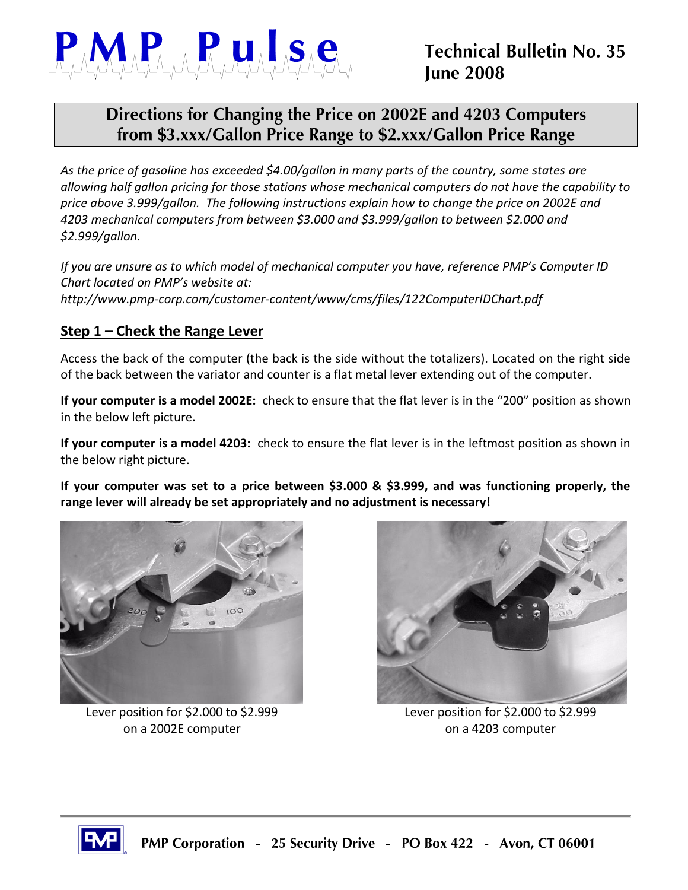

## Directions for Changing the Price on 2002E and 4203 Computers from \$3.xxx/Gallon Price Range to \$2.xxx/Gallon Price Range

*As the price of gasoline has exceeded \$4.00/gallon in many parts of the country, some states are allowing half gallon pricing for those stations whose mechanical computers do not have the capability to price above 3.999/gallon. The following instructions explain how to change the price on 2002E and 4203 mechanical computers from between \$3.000 and \$3.999/gallon to between \$2.000 and \$2.999/gallon.*

*If you are unsure as to which model of mechanical computer you have, reference PMP's Computer ID Chart located on PMP's website at: http://www.pmp-corp.com/customer-content/www/cms/files/122ComputerIDChart.pdf*

## **Step 1 – Check the Range Lever**

Access the back of the computer (the back is the side without the totalizers). Located on the right side of the back between the variator and counter is a flat metal lever extending out of the computer.

**If your computer is a model 2002E:** check to ensure that the flat lever is in the "200" position as shown in the below left picture.

**If your computer is a model 4203:** check to ensure the flat lever is in the leftmost position as shown in the below right picture.

**If your computer was set to a price between \$3.000 & \$3.999, and was functioning properly, the range lever will already be set appropriately and no adjustment is necessary!**



on a 2002E computer and the computer on a 4203 computer



Lever position for \$2.000 to \$2.999 Lever position for \$2.000 to \$2.999

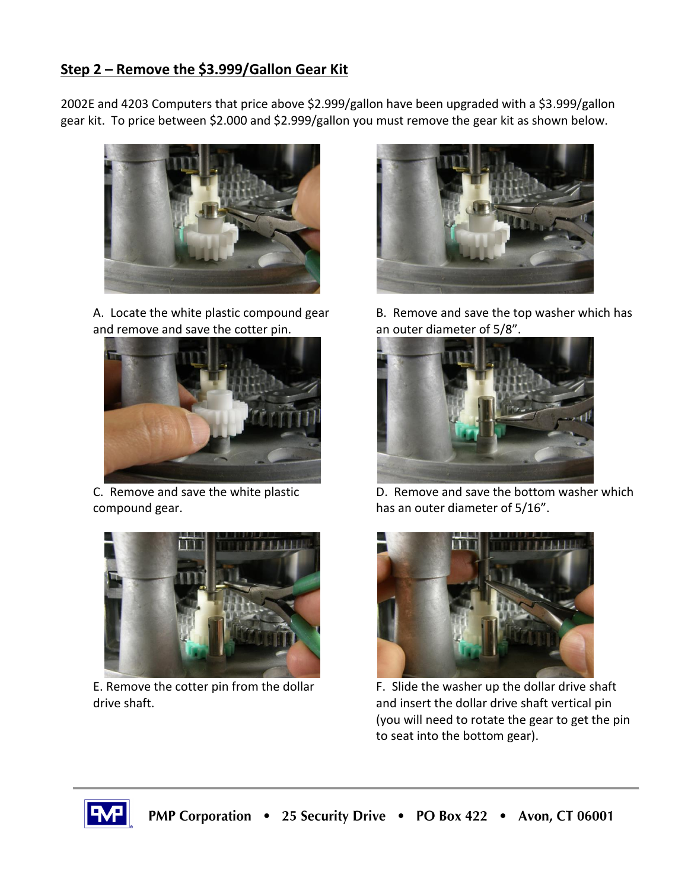## **Step 2 – Remove the \$3.999/Gallon Gear Kit**

2002E and 4203 Computers that price above \$2.999/gallon have been upgraded with a \$3.999/gallon gear kit. To price between \$2.000 and \$2.999/gallon you must remove the gear kit as shown below.



A. Locate the white plastic compound gear and remove and save the cotter pin.



C. Remove and save the white plastic compound gear.



E. Remove the cotter pin from the dollar drive shaft.



B. Remove and save the top washer which has an outer diameter of 5/8".



D. Remove and save the bottom washer which has an outer diameter of 5/16".



F. Slide the washer up the dollar drive shaft and insert the dollar drive shaft vertical pin (you will need to rotate the gear to get the pin to seat into the bottom gear).